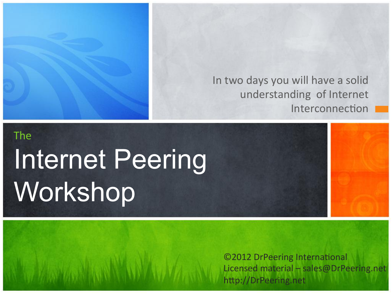

#### In two days you will have a solid understanding of Internet Interconnection

# The Internet Peering Workshop

©2012 DrPeering International Licensed material  $-$  sales@DrPeering.net http://DrPeering.net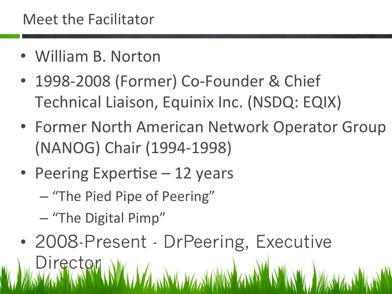- William B. Norton
- 1998-2008 (Former) Co-Founder & Chief Technical Liaison, Equinix Inc. (NSDQ: EQIX)
- Former North American Network Operator Group (NANOG) Chair (1994-1998)
- Peering Expertise  $-12$  years
	- "The Pied Pipe of Peering"
	- "The Digital Pimp"
- 2008-Present DrPeering, Executive Directon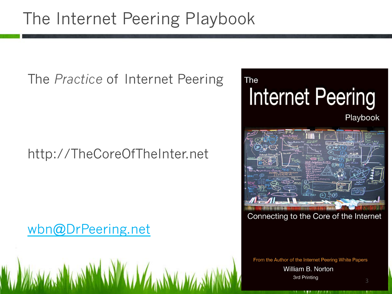#### The *Practice* of Internet Peering

#### http://TheCoreOfTheInter.net

#### wbn@DrPeering.net



#### Connecting to the Core of the Internet

From the Author of the Internet Peering White Papers William B. Norton 3rd Printing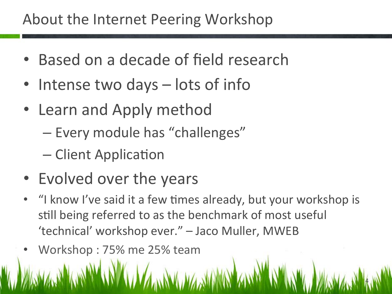### About the Internet Peering Workshop

- Based on a decade of field research
- $\bullet$  Intense two days  $-$  lots of info
- Learn and Apply method
	- Every module has "challenges"
	- Client Application
- Evolved over the years
- "I know I've said it a few times already, but your workshop is still being referred to as the benchmark of most useful 'technical' workshop ever." - Jaco Muller, MWEB

4 

Workshop : 75% me 25% team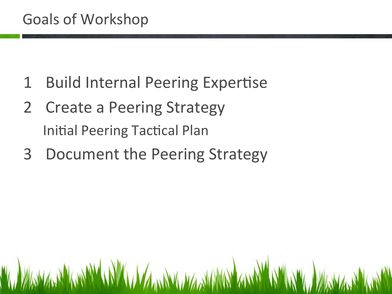- 1 Build Internal Peering Expertise
- 2 Create a Peering Strategy **Initial Peering Tactical Plan**
- 3 Document the Peering Strategy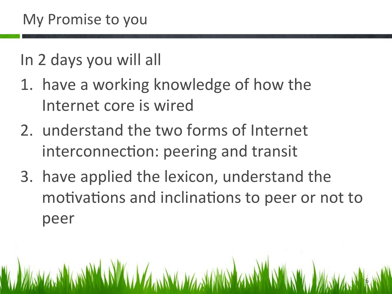## In 2 days you will all

- 1. have a working knowledge of how the Internet core is wired
- 2. understand the two forms of Internet interconnection: peering and transit
- 3. have applied the lexicon, understand the motivations and inclinations to peer or not to peer

6